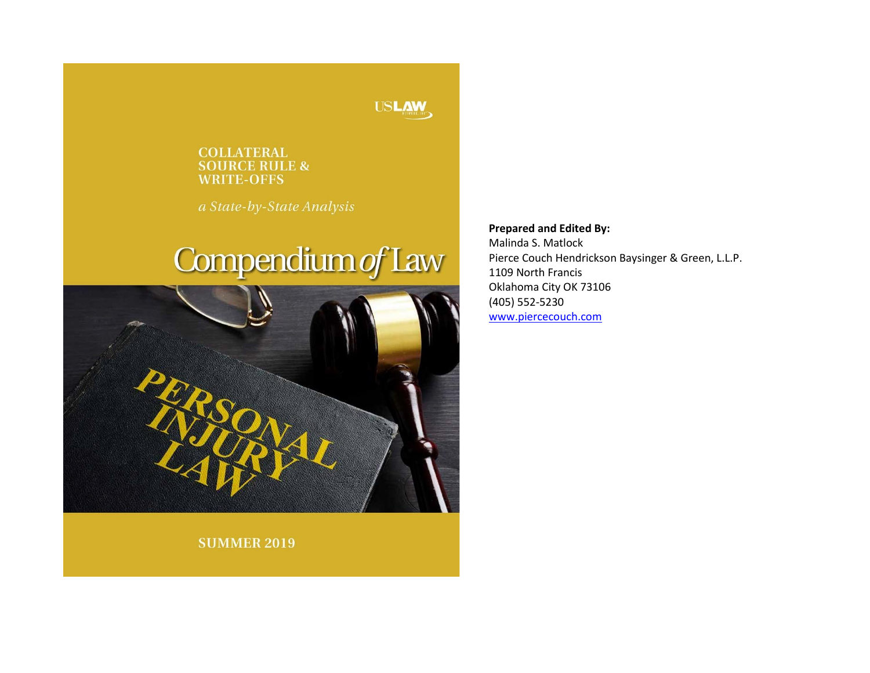#### **USLAW**

#### **COLLATERAL SOURCE RULE & WRITE-OFFS**

a State-by-State Analysis

# Compendium of Law



**Prepared and Edited By:** 

Malinda S. Matlock Pierce Couch Hendrickson Baysinger & Green, L.L.P. 1109 North Francis Oklahoma City OK 73106 (405) 552-5230 [www.piercecouch.com](https://www.piercecouch.com/)

**SUMMER 2019**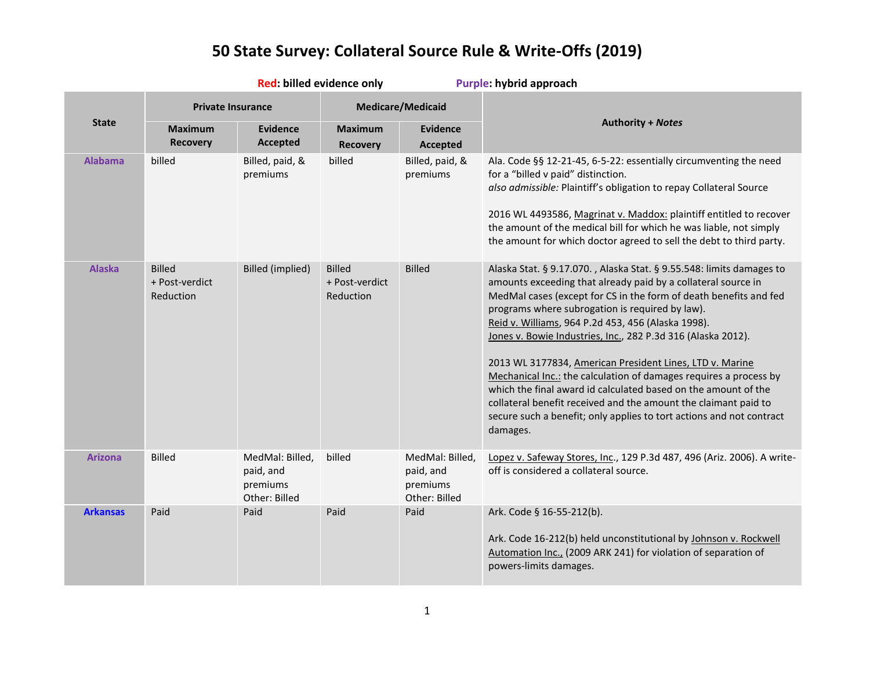|                 | Red: billed evidence only                    |                                                           |                                              |                                                           | Purple: hybrid approach                                                                                                                                                                                                                                                                                                                                                                                                                                                                                                                                                                                                                                                                                                                       |  |  |
|-----------------|----------------------------------------------|-----------------------------------------------------------|----------------------------------------------|-----------------------------------------------------------|-----------------------------------------------------------------------------------------------------------------------------------------------------------------------------------------------------------------------------------------------------------------------------------------------------------------------------------------------------------------------------------------------------------------------------------------------------------------------------------------------------------------------------------------------------------------------------------------------------------------------------------------------------------------------------------------------------------------------------------------------|--|--|
|                 | <b>Private Insurance</b>                     |                                                           |                                              | <b>Medicare/Medicaid</b>                                  |                                                                                                                                                                                                                                                                                                                                                                                                                                                                                                                                                                                                                                                                                                                                               |  |  |
| <b>State</b>    | <b>Maximum</b><br><b>Recovery</b>            | <b>Evidence</b><br><b>Accepted</b>                        | <b>Maximum</b><br><b>Recovery</b>            | <b>Evidence</b><br><b>Accepted</b>                        | <b>Authority + Notes</b>                                                                                                                                                                                                                                                                                                                                                                                                                                                                                                                                                                                                                                                                                                                      |  |  |
| <b>Alabama</b>  | billed                                       | Billed, paid, &<br>premiums                               | billed                                       | Billed, paid, &<br>premiums                               | Ala. Code §§ 12-21-45, 6-5-22: essentially circumventing the need<br>for a "billed v paid" distinction.<br>also admissible: Plaintiff's obligation to repay Collateral Source<br>2016 WL 4493586, Magrinat v. Maddox: plaintiff entitled to recover<br>the amount of the medical bill for which he was liable, not simply<br>the amount for which doctor agreed to sell the debt to third party.                                                                                                                                                                                                                                                                                                                                              |  |  |
| <b>Alaska</b>   | <b>Billed</b><br>+ Post-verdict<br>Reduction | <b>Billed (implied)</b>                                   | <b>Billed</b><br>+ Post-verdict<br>Reduction | <b>Billed</b>                                             | Alaska Stat. § 9.17.070., Alaska Stat. § 9.55.548: limits damages to<br>amounts exceeding that already paid by a collateral source in<br>MedMal cases (except for CS in the form of death benefits and fed<br>programs where subrogation is required by law).<br>Reid v. Williams, 964 P.2d 453, 456 (Alaska 1998).<br>Jones v. Bowie Industries, Inc., 282 P.3d 316 (Alaska 2012).<br>2013 WL 3177834, American President Lines, LTD v. Marine<br>Mechanical Inc.: the calculation of damages requires a process by<br>which the final award id calculated based on the amount of the<br>collateral benefit received and the amount the claimant paid to<br>secure such a benefit; only applies to tort actions and not contract<br>damages. |  |  |
| <b>Arizona</b>  | <b>Billed</b>                                | MedMal: Billed,<br>paid, and<br>premiums<br>Other: Billed | billed                                       | MedMal: Billed,<br>paid, and<br>premiums<br>Other: Billed | Lopez v. Safeway Stores, Inc., 129 P.3d 487, 496 (Ariz. 2006). A write-<br>off is considered a collateral source.                                                                                                                                                                                                                                                                                                                                                                                                                                                                                                                                                                                                                             |  |  |
| <b>Arkansas</b> | Paid                                         | Paid                                                      | Paid                                         | Paid                                                      | Ark. Code § 16-55-212(b).<br>Ark. Code 16-212(b) held unconstitutional by Johnson v. Rockwell<br>Automation Inc., (2009 ARK 241) for violation of separation of<br>powers-limits damages.                                                                                                                                                                                                                                                                                                                                                                                                                                                                                                                                                     |  |  |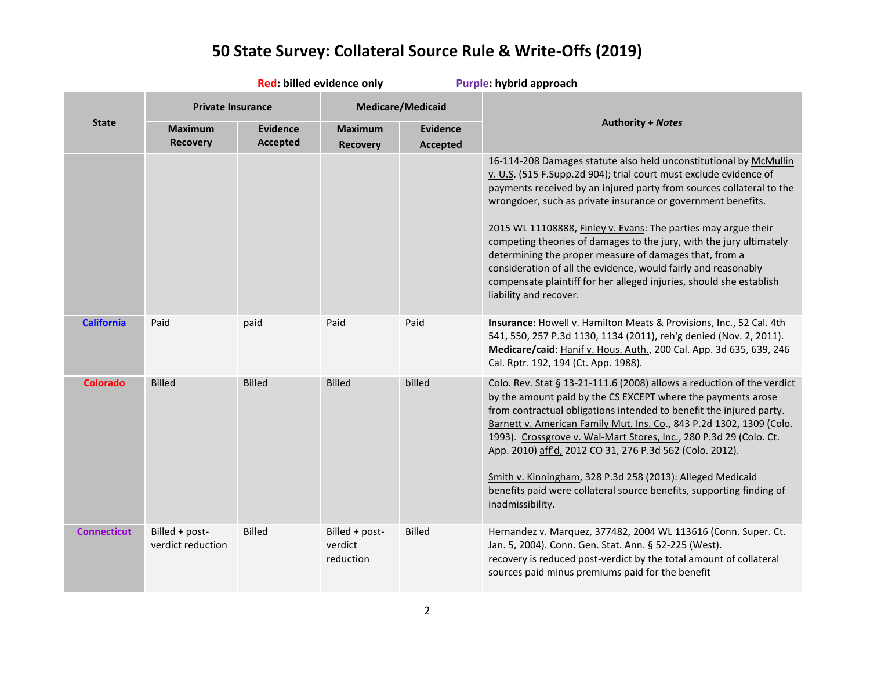|                    | Red: billed evidence only           |                             |                                        | Purple: hybrid approach     |                                                                                                                                                                                                                                                                                                                                                                                                                                                                                                                                                                                                                                                      |
|--------------------|-------------------------------------|-----------------------------|----------------------------------------|-----------------------------|------------------------------------------------------------------------------------------------------------------------------------------------------------------------------------------------------------------------------------------------------------------------------------------------------------------------------------------------------------------------------------------------------------------------------------------------------------------------------------------------------------------------------------------------------------------------------------------------------------------------------------------------------|
|                    | <b>Private Insurance</b>            |                             |                                        | <b>Medicare/Medicaid</b>    |                                                                                                                                                                                                                                                                                                                                                                                                                                                                                                                                                                                                                                                      |
| <b>State</b>       | <b>Maximum</b><br><b>Recovery</b>   | Evidence<br><b>Accepted</b> | <b>Maximum</b><br><b>Recovery</b>      | <b>Evidence</b><br>Accepted | <b>Authority + Notes</b>                                                                                                                                                                                                                                                                                                                                                                                                                                                                                                                                                                                                                             |
|                    |                                     |                             |                                        |                             | 16-114-208 Damages statute also held unconstitutional by McMullin<br>v. U.S. (515 F.Supp.2d 904); trial court must exclude evidence of<br>payments received by an injured party from sources collateral to the<br>wrongdoer, such as private insurance or government benefits.<br>2015 WL 11108888, Finley v. Evans: The parties may argue their<br>competing theories of damages to the jury, with the jury ultimately<br>determining the proper measure of damages that, from a<br>consideration of all the evidence, would fairly and reasonably<br>compensate plaintiff for her alleged injuries, should she establish<br>liability and recover. |
| <b>California</b>  | Paid                                | paid                        | Paid                                   | Paid                        | Insurance: Howell v. Hamilton Meats & Provisions, Inc., 52 Cal. 4th<br>541, 550, 257 P.3d 1130, 1134 (2011), reh'g denied (Nov. 2, 2011).<br>Medicare/caid: Hanif v. Hous. Auth., 200 Cal. App. 3d 635, 639, 246<br>Cal. Rptr. 192, 194 (Ct. App. 1988).                                                                                                                                                                                                                                                                                                                                                                                             |
| <b>Colorado</b>    | <b>Billed</b>                       | <b>Billed</b>               | <b>Billed</b>                          | billed                      | Colo. Rev. Stat § 13-21-111.6 (2008) allows a reduction of the verdict<br>by the amount paid by the CS EXCEPT where the payments arose<br>from contractual obligations intended to benefit the injured party.<br>Barnett v. American Family Mut. Ins. Co., 843 P.2d 1302, 1309 (Colo.<br>1993). Crossgrove v. Wal-Mart Stores, Inc., 280 P.3d 29 (Colo. Ct.<br>App. 2010) aff'd, 2012 CO 31, 276 P.3d 562 (Colo. 2012).<br>Smith v. Kinningham, 328 P.3d 258 (2013): Alleged Medicaid<br>benefits paid were collateral source benefits, supporting finding of<br>inadmissibility.                                                                    |
| <b>Connecticut</b> | Billed + post-<br>verdict reduction | <b>Billed</b>               | Billed + post-<br>verdict<br>reduction | <b>Billed</b>               | Hernandez v. Marquez, 377482, 2004 WL 113616 (Conn. Super. Ct.<br>Jan. 5, 2004). Conn. Gen. Stat. Ann. § 52-225 (West).<br>recovery is reduced post-verdict by the total amount of collateral<br>sources paid minus premiums paid for the benefit                                                                                                                                                                                                                                                                                                                                                                                                    |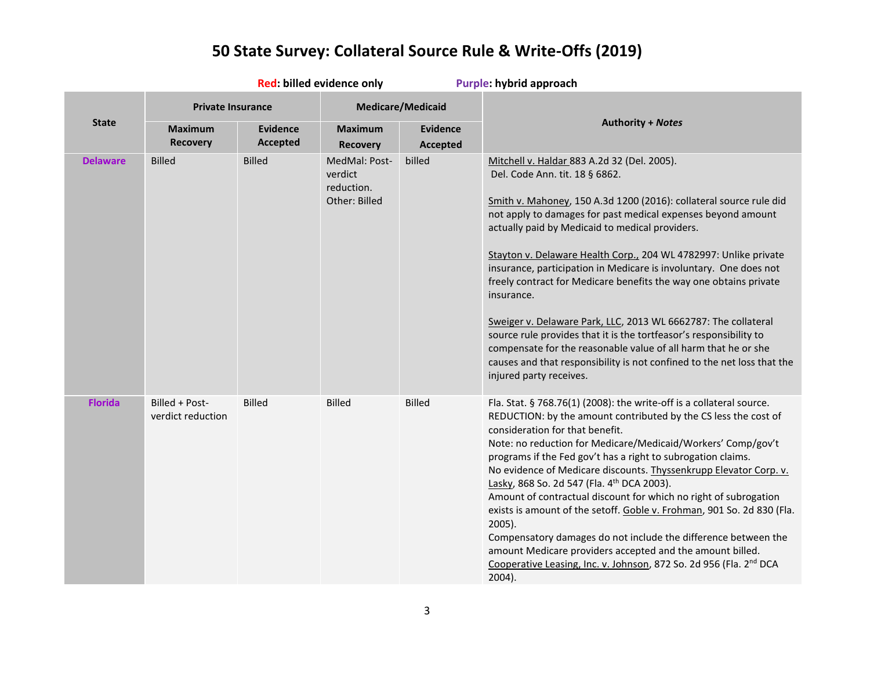|                 | Red: billed evidence only           |                                    |                                                         |                             | Purple: hybrid approach                                                                                                                                                                                                                                                                                                                                                                                                                                                                                                                                                                                                                                                                                                                                                                                             |  |  |
|-----------------|-------------------------------------|------------------------------------|---------------------------------------------------------|-----------------------------|---------------------------------------------------------------------------------------------------------------------------------------------------------------------------------------------------------------------------------------------------------------------------------------------------------------------------------------------------------------------------------------------------------------------------------------------------------------------------------------------------------------------------------------------------------------------------------------------------------------------------------------------------------------------------------------------------------------------------------------------------------------------------------------------------------------------|--|--|
|                 | <b>Private Insurance</b>            |                                    | <b>Medicare/Medicaid</b>                                |                             |                                                                                                                                                                                                                                                                                                                                                                                                                                                                                                                                                                                                                                                                                                                                                                                                                     |  |  |
| <b>State</b>    | <b>Maximum</b><br><b>Recovery</b>   | <b>Evidence</b><br><b>Accepted</b> | <b>Maximum</b><br><b>Recovery</b>                       | <b>Evidence</b><br>Accepted | <b>Authority + Notes</b>                                                                                                                                                                                                                                                                                                                                                                                                                                                                                                                                                                                                                                                                                                                                                                                            |  |  |
| <b>Delaware</b> | <b>Billed</b>                       | <b>Billed</b>                      | MedMal: Post-<br>verdict<br>reduction.<br>Other: Billed | billed                      | Mitchell v. Haldar 883 A.2d 32 (Del. 2005).<br>Del. Code Ann. tit. 18 § 6862.<br>Smith v. Mahoney, 150 A.3d 1200 (2016): collateral source rule did<br>not apply to damages for past medical expenses beyond amount<br>actually paid by Medicaid to medical providers.<br>Stayton v. Delaware Health Corp., 204 WL 4782997: Unlike private<br>insurance, participation in Medicare is involuntary. One does not<br>freely contract for Medicare benefits the way one obtains private<br>insurance.<br>Sweiger v. Delaware Park, LLC, 2013 WL 6662787: The collateral<br>source rule provides that it is the tortfeasor's responsibility to<br>compensate for the reasonable value of all harm that he or she<br>causes and that responsibility is not confined to the net loss that the<br>injured party receives.  |  |  |
| <b>Florida</b>  | Billed + Post-<br>verdict reduction | <b>Billed</b>                      | <b>Billed</b>                                           | <b>Billed</b>               | Fla. Stat. § 768.76(1) (2008): the write-off is a collateral source.<br>REDUCTION: by the amount contributed by the CS less the cost of<br>consideration for that benefit.<br>Note: no reduction for Medicare/Medicaid/Workers' Comp/gov't<br>programs if the Fed gov't has a right to subrogation claims.<br>No evidence of Medicare discounts. Thyssenkrupp Elevator Corp. v.<br>Lasky, 868 So. 2d 547 (Fla. 4th DCA 2003).<br>Amount of contractual discount for which no right of subrogation<br>exists is amount of the setoff. Goble v. Frohman, 901 So. 2d 830 (Fla.<br>$2005$ ).<br>Compensatory damages do not include the difference between the<br>amount Medicare providers accepted and the amount billed.<br>Cooperative Leasing, Inc. v. Johnson, 872 So. 2d 956 (Fla. 2 <sup>nd</sup> DCA<br>2004). |  |  |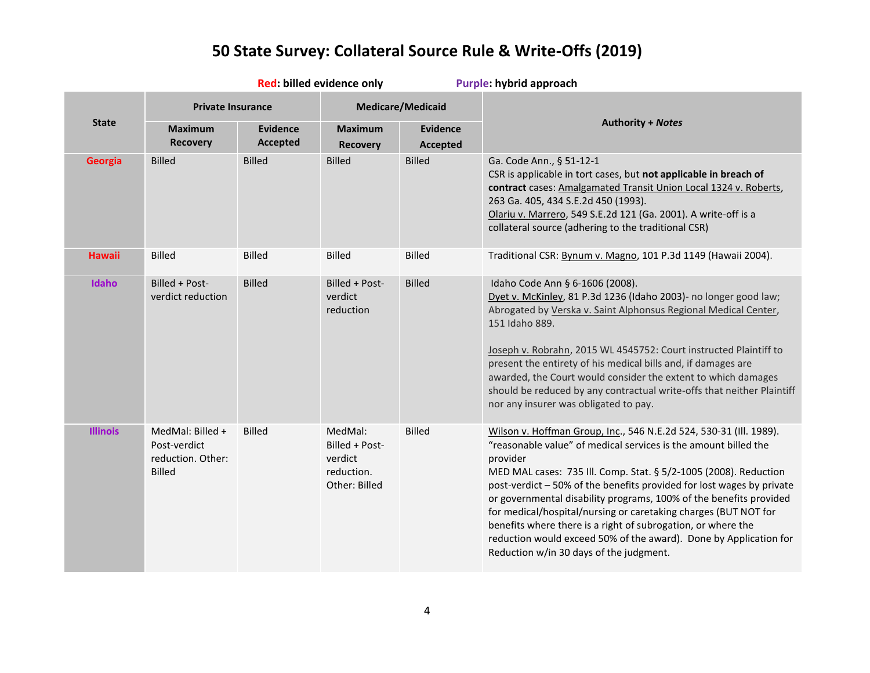|                 | Red: billed evidence only                                              |                                    |                                                                     | Purple: hybrid approach            |                                                                                                                                                                                                                                                                                                                                                                                                                                                                                                                                                                                                                         |
|-----------------|------------------------------------------------------------------------|------------------------------------|---------------------------------------------------------------------|------------------------------------|-------------------------------------------------------------------------------------------------------------------------------------------------------------------------------------------------------------------------------------------------------------------------------------------------------------------------------------------------------------------------------------------------------------------------------------------------------------------------------------------------------------------------------------------------------------------------------------------------------------------------|
|                 | <b>Private Insurance</b>                                               |                                    |                                                                     | <b>Medicare/Medicaid</b>           |                                                                                                                                                                                                                                                                                                                                                                                                                                                                                                                                                                                                                         |
| <b>State</b>    | <b>Maximum</b><br><b>Recovery</b>                                      | <b>Evidence</b><br><b>Accepted</b> | <b>Maximum</b><br><b>Recovery</b>                                   | <b>Evidence</b><br><b>Accepted</b> | <b>Authority + Notes</b>                                                                                                                                                                                                                                                                                                                                                                                                                                                                                                                                                                                                |
| Georgia         | <b>Billed</b>                                                          | <b>Billed</b>                      | <b>Billed</b>                                                       | <b>Billed</b>                      | Ga. Code Ann., § 51-12-1<br>CSR is applicable in tort cases, but not applicable in breach of<br>contract cases: Amalgamated Transit Union Local 1324 v. Roberts,<br>263 Ga. 405, 434 S.E.2d 450 (1993).<br>Olariu v. Marrero, 549 S.E.2d 121 (Ga. 2001). A write-off is a<br>collateral source (adhering to the traditional CSR)                                                                                                                                                                                                                                                                                        |
| <b>Hawaii</b>   | <b>Billed</b>                                                          | <b>Billed</b>                      | <b>Billed</b>                                                       | <b>Billed</b>                      | Traditional CSR: Bynum v. Magno, 101 P.3d 1149 (Hawaii 2004).                                                                                                                                                                                                                                                                                                                                                                                                                                                                                                                                                           |
| <b>Idaho</b>    | Billed + Post-<br>verdict reduction                                    | <b>Billed</b>                      | Billed + Post-<br>verdict<br>reduction                              | <b>Billed</b>                      | Idaho Code Ann § 6-1606 (2008).<br>Dyet v. McKinley, 81 P.3d 1236 (Idaho 2003)- no longer good law;<br>Abrogated by Verska v. Saint Alphonsus Regional Medical Center,<br>151 Idaho 889.<br>Joseph v. Robrahn, 2015 WL 4545752: Court instructed Plaintiff to<br>present the entirety of his medical bills and, if damages are<br>awarded, the Court would consider the extent to which damages<br>should be reduced by any contractual write-offs that neither Plaintiff<br>nor any insurer was obligated to pay.                                                                                                      |
| <b>Illinois</b> | MedMal: Billed +<br>Post-verdict<br>reduction. Other:<br><b>Billed</b> | <b>Billed</b>                      | MedMal:<br>Billed + Post-<br>verdict<br>reduction.<br>Other: Billed | <b>Billed</b>                      | Wilson v. Hoffman Group, Inc., 546 N.E.2d 524, 530-31 (Ill. 1989).<br>"reasonable value" of medical services is the amount billed the<br>provider<br>MED MAL cases: 735 Ill. Comp. Stat. § 5/2-1005 (2008). Reduction<br>post-verdict - 50% of the benefits provided for lost wages by private<br>or governmental disability programs, 100% of the benefits provided<br>for medical/hospital/nursing or caretaking charges (BUT NOT for<br>benefits where there is a right of subrogation, or where the<br>reduction would exceed 50% of the award). Done by Application for<br>Reduction w/in 30 days of the judgment. |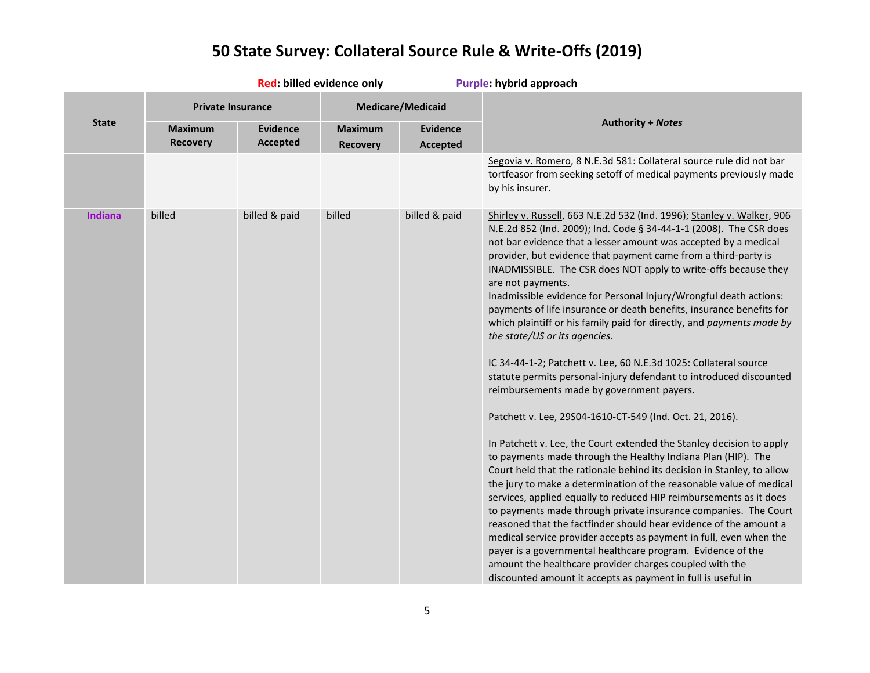|              | Red: billed evidence only         |                                    |                                   | Purple: hybrid approach            |                                                                                                                                                                                                                                                                                                                                                                                                                                                                                                                                                                                                                                                                                                                                                                                                                                                                                                                                                                                                                                                                                                                                                                                                                                                                                                                                                                                                                                                                                                                                                                                                                                                            |  |
|--------------|-----------------------------------|------------------------------------|-----------------------------------|------------------------------------|------------------------------------------------------------------------------------------------------------------------------------------------------------------------------------------------------------------------------------------------------------------------------------------------------------------------------------------------------------------------------------------------------------------------------------------------------------------------------------------------------------------------------------------------------------------------------------------------------------------------------------------------------------------------------------------------------------------------------------------------------------------------------------------------------------------------------------------------------------------------------------------------------------------------------------------------------------------------------------------------------------------------------------------------------------------------------------------------------------------------------------------------------------------------------------------------------------------------------------------------------------------------------------------------------------------------------------------------------------------------------------------------------------------------------------------------------------------------------------------------------------------------------------------------------------------------------------------------------------------------------------------------------------|--|
|              |                                   | <b>Private Insurance</b>           |                                   | <b>Medicare/Medicaid</b>           |                                                                                                                                                                                                                                                                                                                                                                                                                                                                                                                                                                                                                                                                                                                                                                                                                                                                                                                                                                                                                                                                                                                                                                                                                                                                                                                                                                                                                                                                                                                                                                                                                                                            |  |
| <b>State</b> | <b>Maximum</b><br><b>Recovery</b> | <b>Evidence</b><br><b>Accepted</b> | <b>Maximum</b><br><b>Recovery</b> | <b>Evidence</b><br><b>Accepted</b> | <b>Authority + Notes</b>                                                                                                                                                                                                                                                                                                                                                                                                                                                                                                                                                                                                                                                                                                                                                                                                                                                                                                                                                                                                                                                                                                                                                                                                                                                                                                                                                                                                                                                                                                                                                                                                                                   |  |
|              |                                   |                                    |                                   |                                    | Segovia v. Romero, 8 N.E.3d 581: Collateral source rule did not bar<br>tortfeasor from seeking setoff of medical payments previously made<br>by his insurer.                                                                                                                                                                                                                                                                                                                                                                                                                                                                                                                                                                                                                                                                                                                                                                                                                                                                                                                                                                                                                                                                                                                                                                                                                                                                                                                                                                                                                                                                                               |  |
| Indiana      | billed                            | billed & paid                      | billed                            | billed & paid                      | Shirley v. Russell, 663 N.E.2d 532 (Ind. 1996); Stanley v. Walker, 906<br>N.E.2d 852 (Ind. 2009); Ind. Code § 34-44-1-1 (2008). The CSR does<br>not bar evidence that a lesser amount was accepted by a medical<br>provider, but evidence that payment came from a third-party is<br>INADMISSIBLE. The CSR does NOT apply to write-offs because they<br>are not payments.<br>Inadmissible evidence for Personal Injury/Wrongful death actions:<br>payments of life insurance or death benefits, insurance benefits for<br>which plaintiff or his family paid for directly, and payments made by<br>the state/US or its agencies.<br>IC 34-44-1-2; Patchett v. Lee, 60 N.E.3d 1025: Collateral source<br>statute permits personal-injury defendant to introduced discounted<br>reimbursements made by government payers.<br>Patchett v. Lee, 29S04-1610-CT-549 (Ind. Oct. 21, 2016).<br>In Patchett v. Lee, the Court extended the Stanley decision to apply<br>to payments made through the Healthy Indiana Plan (HIP). The<br>Court held that the rationale behind its decision in Stanley, to allow<br>the jury to make a determination of the reasonable value of medical<br>services, applied equally to reduced HIP reimbursements as it does<br>to payments made through private insurance companies. The Court<br>reasoned that the factfinder should hear evidence of the amount a<br>medical service provider accepts as payment in full, even when the<br>payer is a governmental healthcare program. Evidence of the<br>amount the healthcare provider charges coupled with the<br>discounted amount it accepts as payment in full is useful in |  |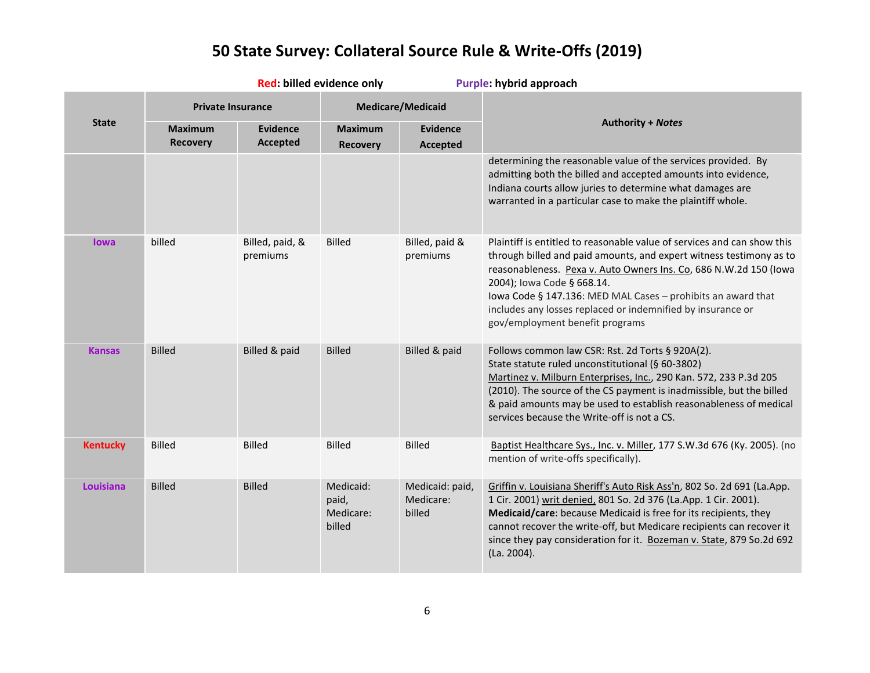|                  | Red: billed evidence only         |                                    |                                           | Purple: hybrid approach                |                                                                                                                                                                                                                                                                                                                                                                                                                     |  |
|------------------|-----------------------------------|------------------------------------|-------------------------------------------|----------------------------------------|---------------------------------------------------------------------------------------------------------------------------------------------------------------------------------------------------------------------------------------------------------------------------------------------------------------------------------------------------------------------------------------------------------------------|--|
|                  | <b>Private Insurance</b>          |                                    |                                           | <b>Medicare/Medicaid</b>               |                                                                                                                                                                                                                                                                                                                                                                                                                     |  |
| <b>State</b>     | <b>Maximum</b><br><b>Recovery</b> | <b>Evidence</b><br><b>Accepted</b> | <b>Maximum</b><br><b>Recovery</b>         | <b>Evidence</b><br><b>Accepted</b>     | <b>Authority + Notes</b>                                                                                                                                                                                                                                                                                                                                                                                            |  |
|                  |                                   |                                    |                                           |                                        | determining the reasonable value of the services provided. By<br>admitting both the billed and accepted amounts into evidence,<br>Indiana courts allow juries to determine what damages are<br>warranted in a particular case to make the plaintiff whole.                                                                                                                                                          |  |
| <b>lowa</b>      | billed                            | Billed, paid, &<br>premiums        | <b>Billed</b>                             | Billed, paid &<br>premiums             | Plaintiff is entitled to reasonable value of services and can show this<br>through billed and paid amounts, and expert witness testimony as to<br>reasonableness. Pexa v. Auto Owners Ins. Co, 686 N.W.2d 150 (lowa<br>2004); Iowa Code § 668.14.<br>lowa Code § 147.136: MED MAL Cases - prohibits an award that<br>includes any losses replaced or indemnified by insurance or<br>gov/employment benefit programs |  |
| <b>Kansas</b>    | <b>Billed</b>                     | Billed & paid                      | <b>Billed</b>                             | Billed & paid                          | Follows common law CSR: Rst. 2d Torts § 920A(2).<br>State statute ruled unconstitutional (§ 60-3802)<br>Martinez v. Milburn Enterprises, Inc., 290 Kan. 572, 233 P.3d 205<br>(2010). The source of the CS payment is inadmissible, but the billed<br>& paid amounts may be used to establish reasonableness of medical<br>services because the Write-off is not a CS.                                               |  |
| <b>Kentucky</b>  | <b>Billed</b>                     | <b>Billed</b>                      | <b>Billed</b>                             | <b>Billed</b>                          | Baptist Healthcare Sys., Inc. v. Miller, 177 S.W.3d 676 (Ky. 2005). (no<br>mention of write-offs specifically).                                                                                                                                                                                                                                                                                                     |  |
| <b>Louisiana</b> | <b>Billed</b>                     | <b>Billed</b>                      | Medicaid:<br>paid,<br>Medicare:<br>billed | Medicaid: paid,<br>Medicare:<br>billed | Griffin v. Louisiana Sheriff's Auto Risk Ass'n, 802 So. 2d 691 (La.App.<br>1 Cir. 2001) writ denied, 801 So. 2d 376 (La.App. 1 Cir. 2001).<br>Medicaid/care: because Medicaid is free for its recipients, they<br>cannot recover the write-off, but Medicare recipients can recover it<br>since they pay consideration for it. Bozeman v. State, 879 So.2d 692<br>(La. 2004).                                       |  |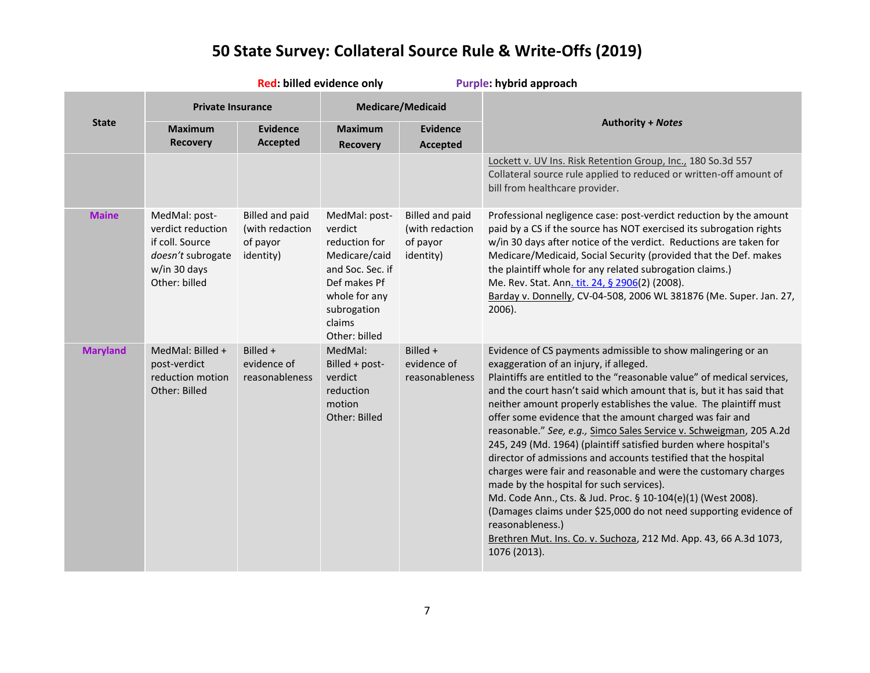|                 | Red: billed evidence only                                                                                   |                                                                    |                                                                                                                                                           | Purple: hybrid approach                                            |                                                                                                                                                                                                                                                                                                                                                                                                                                                                                                                                                                                                                                                                                                                                                                                                                                                                                                                                                                      |  |
|-----------------|-------------------------------------------------------------------------------------------------------------|--------------------------------------------------------------------|-----------------------------------------------------------------------------------------------------------------------------------------------------------|--------------------------------------------------------------------|----------------------------------------------------------------------------------------------------------------------------------------------------------------------------------------------------------------------------------------------------------------------------------------------------------------------------------------------------------------------------------------------------------------------------------------------------------------------------------------------------------------------------------------------------------------------------------------------------------------------------------------------------------------------------------------------------------------------------------------------------------------------------------------------------------------------------------------------------------------------------------------------------------------------------------------------------------------------|--|
|                 | <b>Private Insurance</b>                                                                                    |                                                                    |                                                                                                                                                           | <b>Medicare/Medicaid</b>                                           |                                                                                                                                                                                                                                                                                                                                                                                                                                                                                                                                                                                                                                                                                                                                                                                                                                                                                                                                                                      |  |
| <b>State</b>    | <b>Maximum</b><br><b>Recovery</b>                                                                           | <b>Evidence</b><br><b>Accepted</b>                                 | <b>Maximum</b><br><b>Recovery</b>                                                                                                                         | <b>Evidence</b><br><b>Accepted</b>                                 | <b>Authority + Notes</b>                                                                                                                                                                                                                                                                                                                                                                                                                                                                                                                                                                                                                                                                                                                                                                                                                                                                                                                                             |  |
|                 |                                                                                                             |                                                                    |                                                                                                                                                           |                                                                    | Lockett v. UV Ins. Risk Retention Group, Inc., 180 So.3d 557<br>Collateral source rule applied to reduced or written-off amount of<br>bill from healthcare provider.                                                                                                                                                                                                                                                                                                                                                                                                                                                                                                                                                                                                                                                                                                                                                                                                 |  |
| <b>Maine</b>    | MedMal: post-<br>verdict reduction<br>if coll. Source<br>doesn't subrogate<br>w/in 30 days<br>Other: billed | <b>Billed and paid</b><br>(with redaction<br>of payor<br>identity) | MedMal: post-<br>verdict<br>reduction for<br>Medicare/caid<br>and Soc. Sec. if<br>Def makes Pf<br>whole for any<br>subrogation<br>claims<br>Other: billed | <b>Billed and paid</b><br>(with redaction<br>of payor<br>identity) | Professional negligence case: post-verdict reduction by the amount<br>paid by a CS if the source has NOT exercised its subrogation rights<br>w/in 30 days after notice of the verdict. Reductions are taken for<br>Medicare/Medicaid, Social Security (provided that the Def. makes<br>the plaintiff whole for any related subrogation claims.)<br>Me. Rev. Stat. Ann. tit. 24, § 2906(2) (2008).<br>Barday v. Donnelly, CV-04-508, 2006 WL 381876 (Me. Super. Jan. 27,<br>2006).                                                                                                                                                                                                                                                                                                                                                                                                                                                                                    |  |
| <b>Maryland</b> | MedMal: Billed +<br>post-verdict<br>reduction motion<br>Other: Billed                                       | Billed $+$<br>evidence of<br>reasonableness                        | MedMal:<br>Billed + post-<br>verdict<br>reduction<br>motion<br>Other: Billed                                                                              | Billed $+$<br>evidence of<br>reasonableness                        | Evidence of CS payments admissible to show malingering or an<br>exaggeration of an injury, if alleged.<br>Plaintiffs are entitled to the "reasonable value" of medical services,<br>and the court hasn't said which amount that is, but it has said that<br>neither amount properly establishes the value. The plaintiff must<br>offer some evidence that the amount charged was fair and<br>reasonable." See, e.g., Simco Sales Service v. Schweigman, 205 A.2d<br>245, 249 (Md. 1964) (plaintiff satisfied burden where hospital's<br>director of admissions and accounts testified that the hospital<br>charges were fair and reasonable and were the customary charges<br>made by the hospital for such services).<br>Md. Code Ann., Cts. & Jud. Proc. § 10-104(e)(1) (West 2008).<br>(Damages claims under \$25,000 do not need supporting evidence of<br>reasonableness.)<br>Brethren Mut. Ins. Co. v. Suchoza, 212 Md. App. 43, 66 A.3d 1073,<br>1076 (2013). |  |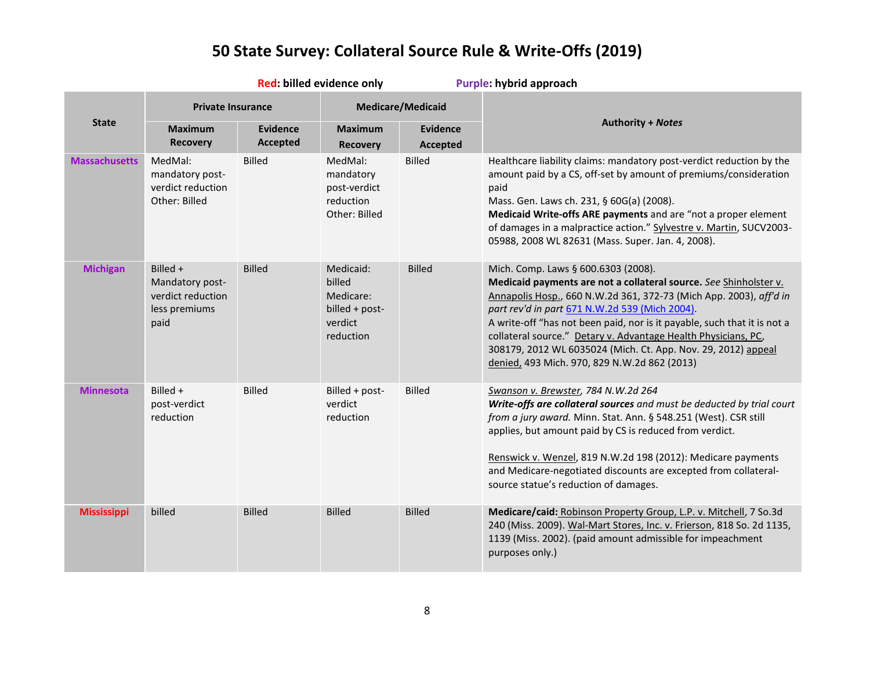|                      | Red: billed evidence only                                                 |                             |                                                                            | Purple: hybrid approach            |                                                                                                                                                                                                                                                                                                                                                                                                                                                                                                 |
|----------------------|---------------------------------------------------------------------------|-----------------------------|----------------------------------------------------------------------------|------------------------------------|-------------------------------------------------------------------------------------------------------------------------------------------------------------------------------------------------------------------------------------------------------------------------------------------------------------------------------------------------------------------------------------------------------------------------------------------------------------------------------------------------|
|                      | <b>Private Insurance</b>                                                  |                             |                                                                            | <b>Medicare/Medicaid</b>           |                                                                                                                                                                                                                                                                                                                                                                                                                                                                                                 |
| <b>State</b>         | <b>Maximum</b><br><b>Recovery</b>                                         | <b>Evidence</b><br>Accepted | <b>Maximum</b><br><b>Recovery</b>                                          | <b>Evidence</b><br><b>Accepted</b> | <b>Authority + Notes</b>                                                                                                                                                                                                                                                                                                                                                                                                                                                                        |
| <b>Massachusetts</b> | MedMal:<br>mandatory post-<br>verdict reduction<br>Other: Billed          | <b>Billed</b>               | MedMal:<br>mandatory<br>post-verdict<br>reduction<br>Other: Billed         | <b>Billed</b>                      | Healthcare liability claims: mandatory post-verdict reduction by the<br>amount paid by a CS, off-set by amount of premiums/consideration<br>paid<br>Mass. Gen. Laws ch. 231, § 60G(a) (2008).<br>Medicaid Write-offs ARE payments and are "not a proper element<br>of damages in a malpractice action." Sylvestre v. Martin, SUCV2003-<br>05988, 2008 WL 82631 (Mass. Super. Jan. 4, 2008).                                                                                                     |
| <b>Michigan</b>      | Billed +<br>Mandatory post-<br>verdict reduction<br>less premiums<br>paid | <b>Billed</b>               | Medicaid:<br>billed<br>Medicare:<br>billed + post-<br>verdict<br>reduction | <b>Billed</b>                      | Mich. Comp. Laws § 600.6303 (2008).<br>Medicaid payments are not a collateral source. See Shinholster v.<br>Annapolis Hosp., 660 N.W.2d 361, 372-73 (Mich App. 2003), aff'd in<br>part rev'd in part 671 N.W.2d 539 (Mich 2004).<br>A write-off "has not been paid, nor is it payable, such that it is not a<br>collateral source." Detary v. Advantage Health Physicians, PC,<br>308179, 2012 WL 6035024 (Mich. Ct. App. Nov. 29, 2012) appeal<br>denied, 493 Mich. 970, 829 N.W.2d 862 (2013) |
| <b>Minnesota</b>     | Billed +<br>post-verdict<br>reduction                                     | <b>Billed</b>               | Billed + post-<br>verdict<br>reduction                                     | <b>Billed</b>                      | Swanson v. Brewster, 784 N.W.2d 264<br>Write-offs are collateral sources and must be deducted by trial court<br>from a jury award. Minn. Stat. Ann. § 548.251 (West). CSR still<br>applies, but amount paid by CS is reduced from verdict.<br>Renswick v. Wenzel, 819 N.W.2d 198 (2012): Medicare payments<br>and Medicare-negotiated discounts are excepted from collateral-<br>source statue's reduction of damages.                                                                          |
| <b>Mississippi</b>   | billed                                                                    | <b>Billed</b>               | <b>Billed</b>                                                              | <b>Billed</b>                      | Medicare/caid: Robinson Property Group, L.P. v. Mitchell, 7 So.3d<br>240 (Miss. 2009). Wal-Mart Stores, Inc. v. Frierson, 818 So. 2d 1135,<br>1139 (Miss. 2002). (paid amount admissible for impeachment<br>purposes only.)                                                                                                                                                                                                                                                                     |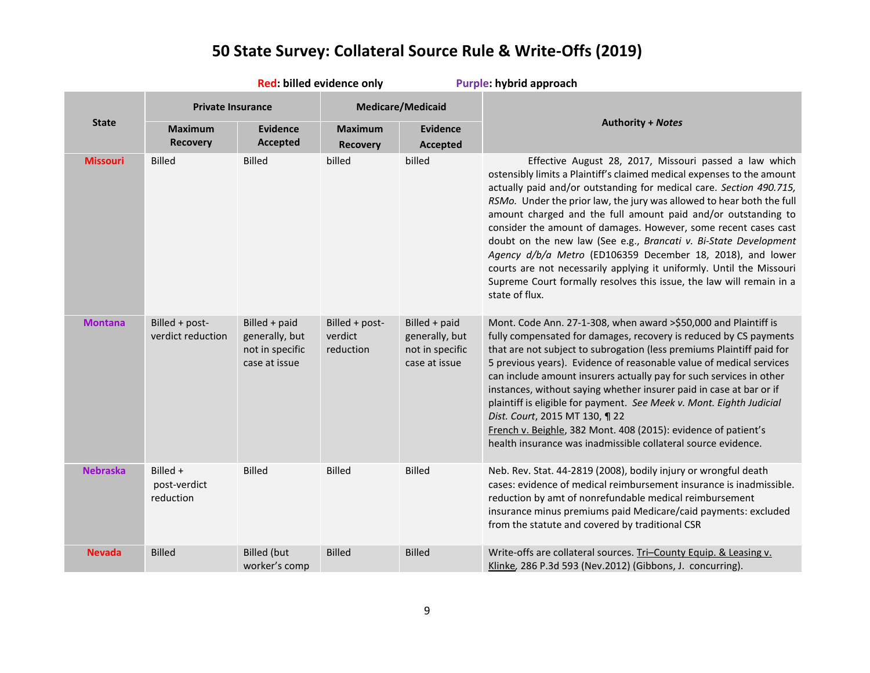|                 | Red: billed evidence only             |                                                                     |                                        | Purple: hybrid approach                                             |                                                                                                                                                                                                                                                                                                                                                                                                                                                                                                                                                                                                                                                                                                                          |
|-----------------|---------------------------------------|---------------------------------------------------------------------|----------------------------------------|---------------------------------------------------------------------|--------------------------------------------------------------------------------------------------------------------------------------------------------------------------------------------------------------------------------------------------------------------------------------------------------------------------------------------------------------------------------------------------------------------------------------------------------------------------------------------------------------------------------------------------------------------------------------------------------------------------------------------------------------------------------------------------------------------------|
|                 | <b>Private Insurance</b>              |                                                                     |                                        | <b>Medicare/Medicaid</b>                                            |                                                                                                                                                                                                                                                                                                                                                                                                                                                                                                                                                                                                                                                                                                                          |
| <b>State</b>    | <b>Maximum</b><br><b>Recovery</b>     | <b>Evidence</b><br><b>Accepted</b>                                  | <b>Maximum</b><br><b>Recovery</b>      | <b>Evidence</b><br><b>Accepted</b>                                  | <b>Authority + Notes</b>                                                                                                                                                                                                                                                                                                                                                                                                                                                                                                                                                                                                                                                                                                 |
| <b>Missouri</b> | <b>Billed</b>                         | <b>Billed</b>                                                       | billed                                 | billed                                                              | Effective August 28, 2017, Missouri passed a law which<br>ostensibly limits a Plaintiff's claimed medical expenses to the amount<br>actually paid and/or outstanding for medical care. Section 490.715,<br>RSMo. Under the prior law, the jury was allowed to hear both the full<br>amount charged and the full amount paid and/or outstanding to<br>consider the amount of damages. However, some recent cases cast<br>doubt on the new law (See e.g., Brancati v. Bi-State Development<br>Agency d/b/a Metro (ED106359 December 18, 2018), and lower<br>courts are not necessarily applying it uniformly. Until the Missouri<br>Supreme Court formally resolves this issue, the law will remain in a<br>state of flux. |
| <b>Montana</b>  | Billed + post-<br>verdict reduction   | Billed + paid<br>generally, but<br>not in specific<br>case at issue | Billed + post-<br>verdict<br>reduction | Billed + paid<br>generally, but<br>not in specific<br>case at issue | Mont. Code Ann. 27-1-308, when award >\$50,000 and Plaintiff is<br>fully compensated for damages, recovery is reduced by CS payments<br>that are not subject to subrogation (less premiums Plaintiff paid for<br>5 previous years). Evidence of reasonable value of medical services<br>can include amount insurers actually pay for such services in other<br>instances, without saying whether insurer paid in case at bar or if<br>plaintiff is eligible for payment. See Meek v. Mont. Eighth Judicial<br>Dist. Court, 2015 MT 130, ¶ 22<br>French v. Beighle, 382 Mont. 408 (2015): evidence of patient's<br>health insurance was inadmissible collateral source evidence.                                          |
| <b>Nebraska</b> | Billed +<br>post-verdict<br>reduction | <b>Billed</b>                                                       | <b>Billed</b>                          | <b>Billed</b>                                                       | Neb. Rev. Stat. 44-2819 (2008), bodily injury or wrongful death<br>cases: evidence of medical reimbursement insurance is inadmissible.<br>reduction by amt of nonrefundable medical reimbursement<br>insurance minus premiums paid Medicare/caid payments: excluded<br>from the statute and covered by traditional CSR                                                                                                                                                                                                                                                                                                                                                                                                   |
| Nevada          | <b>Billed</b>                         | <b>Billed</b> (but<br>worker's comp                                 | <b>Billed</b>                          | <b>Billed</b>                                                       | Write-offs are collateral sources. Tri-County Equip. & Leasing v.<br>Klinke, 286 P.3d 593 (Nev.2012) (Gibbons, J. concurring).                                                                                                                                                                                                                                                                                                                                                                                                                                                                                                                                                                                           |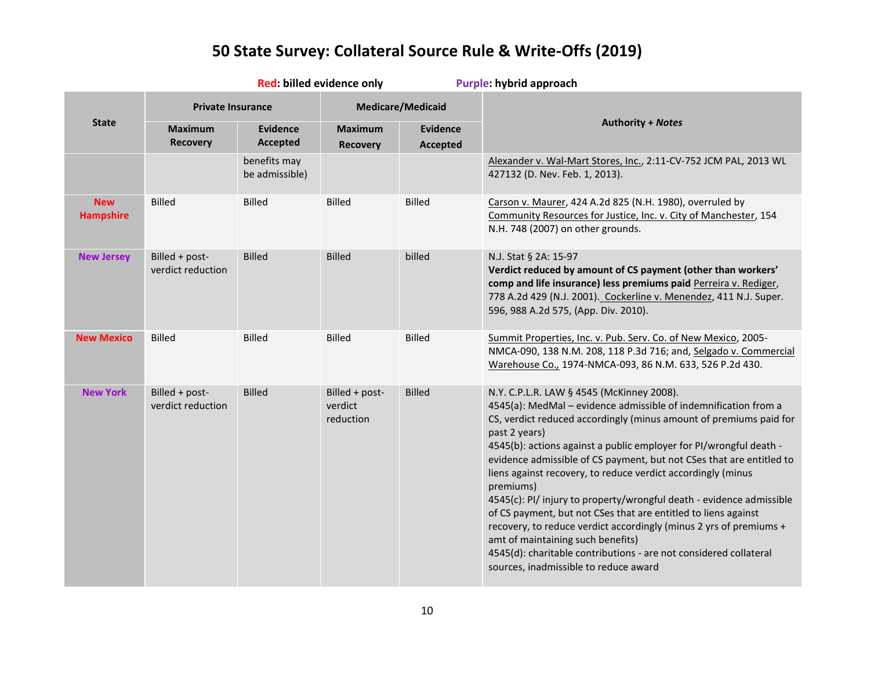|                                | Red: billed evidence only           |                                    |                                        |                                    | Purple: hybrid approach                                                                                                                                                                                                                                                                                                                                                                                                                                                                                                                                                                                                                                                                                                                                                                           |
|--------------------------------|-------------------------------------|------------------------------------|----------------------------------------|------------------------------------|---------------------------------------------------------------------------------------------------------------------------------------------------------------------------------------------------------------------------------------------------------------------------------------------------------------------------------------------------------------------------------------------------------------------------------------------------------------------------------------------------------------------------------------------------------------------------------------------------------------------------------------------------------------------------------------------------------------------------------------------------------------------------------------------------|
|                                | <b>Private Insurance</b>            |                                    |                                        | <b>Medicare/Medicaid</b>           |                                                                                                                                                                                                                                                                                                                                                                                                                                                                                                                                                                                                                                                                                                                                                                                                   |
| <b>State</b>                   | <b>Maximum</b><br><b>Recovery</b>   | <b>Evidence</b><br><b>Accepted</b> | <b>Maximum</b><br><b>Recovery</b>      | <b>Evidence</b><br><b>Accepted</b> | <b>Authority + Notes</b>                                                                                                                                                                                                                                                                                                                                                                                                                                                                                                                                                                                                                                                                                                                                                                          |
|                                |                                     | benefits may<br>be admissible)     |                                        |                                    | Alexander v. Wal-Mart Stores, Inc., 2:11-CV-752 JCM PAL, 2013 WL<br>427132 (D. Nev. Feb. 1, 2013).                                                                                                                                                                                                                                                                                                                                                                                                                                                                                                                                                                                                                                                                                                |
| <b>New</b><br><b>Hampshire</b> | <b>Billed</b>                       | <b>Billed</b>                      | <b>Billed</b>                          | <b>Billed</b>                      | Carson v. Maurer, 424 A.2d 825 (N.H. 1980), overruled by<br>Community Resources for Justice, Inc. v. City of Manchester, 154<br>N.H. 748 (2007) on other grounds.                                                                                                                                                                                                                                                                                                                                                                                                                                                                                                                                                                                                                                 |
| <b>New Jersey</b>              | Billed + post-<br>verdict reduction | <b>Billed</b>                      | <b>Billed</b>                          | billed                             | N.J. Stat § 2A: 15-97<br>Verdict reduced by amount of CS payment (other than workers'<br>comp and life insurance) less premiums paid Perreira v. Rediger,<br>778 A.2d 429 (N.J. 2001). Cockerline v. Menendez, 411 N.J. Super.<br>596, 988 A.2d 575, (App. Div. 2010).                                                                                                                                                                                                                                                                                                                                                                                                                                                                                                                            |
| <b>New Mexico</b>              | <b>Billed</b>                       | <b>Billed</b>                      | <b>Billed</b>                          | <b>Billed</b>                      | Summit Properties, Inc. v. Pub. Serv. Co. of New Mexico, 2005-<br>NMCA-090, 138 N.M. 208, 118 P.3d 716; and, Selgado v. Commercial<br>Warehouse Co., 1974-NMCA-093, 86 N.M. 633, 526 P.2d 430.                                                                                                                                                                                                                                                                                                                                                                                                                                                                                                                                                                                                    |
| <b>New York</b>                | Billed + post-<br>verdict reduction | <b>Billed</b>                      | Billed + post-<br>verdict<br>reduction | <b>Billed</b>                      | N.Y. C.P.L.R. LAW § 4545 (McKinney 2008).<br>4545(a): MedMal - evidence admissible of indemnification from a<br>CS, verdict reduced accordingly (minus amount of premiums paid for<br>past 2 years)<br>4545(b): actions against a public employer for PI/wrongful death -<br>evidence admissible of CS payment, but not CSes that are entitled to<br>liens against recovery, to reduce verdict accordingly (minus<br>premiums)<br>4545(c): PI/ injury to property/wrongful death - evidence admissible<br>of CS payment, but not CSes that are entitled to liens against<br>recovery, to reduce verdict accordingly (minus 2 yrs of premiums +<br>amt of maintaining such benefits)<br>4545(d): charitable contributions - are not considered collateral<br>sources, inadmissible to reduce award |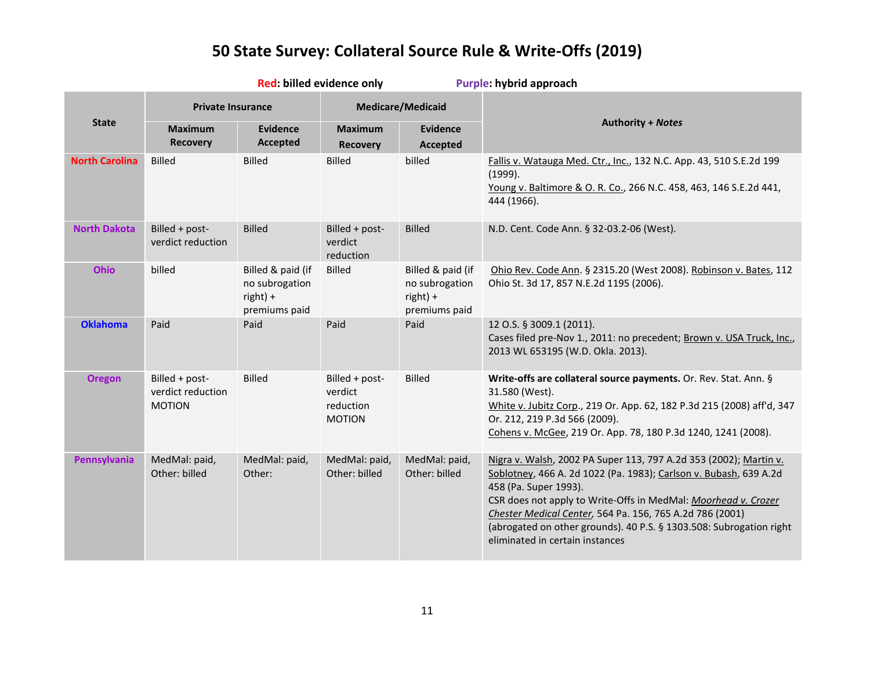|                       | Red: billed evidence only                            |                                                                  |                                                         |                                                                    | Purple: hybrid approach                                                                                                                                                                                                                                                                                                                                                                                 |
|-----------------------|------------------------------------------------------|------------------------------------------------------------------|---------------------------------------------------------|--------------------------------------------------------------------|---------------------------------------------------------------------------------------------------------------------------------------------------------------------------------------------------------------------------------------------------------------------------------------------------------------------------------------------------------------------------------------------------------|
|                       | <b>Private Insurance</b>                             |                                                                  | <b>Medicare/Medicaid</b>                                |                                                                    |                                                                                                                                                                                                                                                                                                                                                                                                         |
| <b>State</b>          | <b>Maximum</b><br><b>Recovery</b>                    | <b>Evidence</b><br><b>Accepted</b>                               | <b>Maximum</b><br><b>Recovery</b>                       | <b>Evidence</b><br><b>Accepted</b>                                 | <b>Authority + Notes</b>                                                                                                                                                                                                                                                                                                                                                                                |
| <b>North Carolina</b> | <b>Billed</b>                                        | <b>Billed</b>                                                    | <b>Billed</b>                                           | billed                                                             | Fallis v. Watauga Med. Ctr., Inc., 132 N.C. App. 43, 510 S.E.2d 199<br>(1999).<br>Young v. Baltimore & O. R. Co., 266 N.C. 458, 463, 146 S.E.2d 441,<br>444 (1966).                                                                                                                                                                                                                                     |
| <b>North Dakota</b>   | Billed + post-<br>verdict reduction                  | <b>Billed</b>                                                    | Billed + post-<br>verdict<br>reduction                  | <b>Billed</b>                                                      | N.D. Cent. Code Ann. § 32-03.2-06 (West).                                                                                                                                                                                                                                                                                                                                                               |
| <b>Ohio</b>           | billed                                               | Billed & paid (if<br>no subrogation<br>right) +<br>premiums paid | <b>Billed</b>                                           | Billed & paid (if<br>no subrogation<br>$right) +$<br>premiums paid | Ohio Rev. Code Ann. § 2315.20 (West 2008). Robinson v. Bates, 112<br>Ohio St. 3d 17, 857 N.E.2d 1195 (2006).                                                                                                                                                                                                                                                                                            |
| <b>Oklahoma</b>       | Paid                                                 | Paid                                                             | Paid                                                    | Paid                                                               | 12 O.S. § 3009.1 (2011).<br>Cases filed pre-Nov 1., 2011: no precedent; Brown v. USA Truck, Inc.,<br>2013 WL 653195 (W.D. Okla. 2013).                                                                                                                                                                                                                                                                  |
| <b>Oregon</b>         | Billed + post-<br>verdict reduction<br><b>MOTION</b> | <b>Billed</b>                                                    | Billed + post-<br>verdict<br>reduction<br><b>MOTION</b> | <b>Billed</b>                                                      | Write-offs are collateral source payments. Or. Rev. Stat. Ann. §<br>31.580 (West).<br>White v. Jubitz Corp., 219 Or. App. 62, 182 P.3d 215 (2008) aff'd, 347<br>Or. 212, 219 P.3d 566 (2009).<br>Cohens v. McGee, 219 Or. App. 78, 180 P.3d 1240, 1241 (2008).                                                                                                                                          |
| Pennsylvania          | MedMal: paid,<br>Other: billed                       | MedMal: paid,<br>Other:                                          | MedMal: paid,<br>Other: billed                          | MedMal: paid,<br>Other: billed                                     | Nigra v. Walsh, 2002 PA Super 113, 797 A.2d 353 (2002); Martin v.<br>Soblotney, 466 A. 2d 1022 (Pa. 1983); Carlson v. Bubash, 639 A.2d<br>458 (Pa. Super 1993).<br>CSR does not apply to Write-Offs in MedMal: Moorhead v. Crozer<br>Chester Medical Center, 564 Pa. 156, 765 A.2d 786 (2001)<br>(abrogated on other grounds). 40 P.S. § 1303.508: Subrogation right<br>eliminated in certain instances |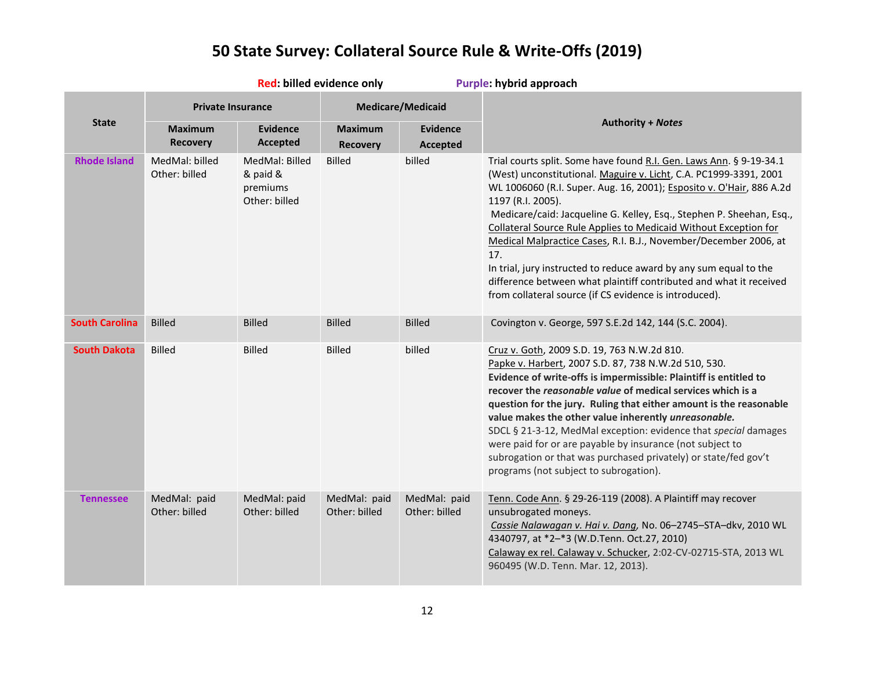|                       | Red: billed evidence only         |                                                         |                                   | Purple: hybrid approach            |                                                                                                                                                                                                                                                                                                                                                                                                                                                                                                                                                                                                                                                                          |  |
|-----------------------|-----------------------------------|---------------------------------------------------------|-----------------------------------|------------------------------------|--------------------------------------------------------------------------------------------------------------------------------------------------------------------------------------------------------------------------------------------------------------------------------------------------------------------------------------------------------------------------------------------------------------------------------------------------------------------------------------------------------------------------------------------------------------------------------------------------------------------------------------------------------------------------|--|
|                       | <b>Private Insurance</b>          |                                                         |                                   | <b>Medicare/Medicaid</b>           |                                                                                                                                                                                                                                                                                                                                                                                                                                                                                                                                                                                                                                                                          |  |
| <b>State</b>          | <b>Maximum</b><br><b>Recovery</b> | <b>Evidence</b><br>Accepted                             | <b>Maximum</b><br><b>Recovery</b> | <b>Evidence</b><br><b>Accepted</b> | <b>Authority + Notes</b>                                                                                                                                                                                                                                                                                                                                                                                                                                                                                                                                                                                                                                                 |  |
| <b>Rhode Island</b>   | MedMal: billed<br>Other: billed   | MedMal: Billed<br>& paid &<br>premiums<br>Other: billed | <b>Billed</b>                     | billed                             | Trial courts split. Some have found R.I. Gen. Laws Ann. § 9-19-34.1<br>(West) unconstitutional. Maguire v. Licht, C.A. PC1999-3391, 2001<br>WL 1006060 (R.I. Super. Aug. 16, 2001); Esposito v. O'Hair, 886 A.2d<br>1197 (R.I. 2005).<br>Medicare/caid: Jacqueline G. Kelley, Esq., Stephen P. Sheehan, Esq.,<br><b>Collateral Source Rule Applies to Medicaid Without Exception for</b><br>Medical Malpractice Cases, R.I. B.J., November/December 2006, at<br>17.<br>In trial, jury instructed to reduce award by any sum equal to the<br>difference between what plaintiff contributed and what it received<br>from collateral source (if CS evidence is introduced). |  |
| <b>South Carolina</b> | <b>Billed</b>                     | <b>Billed</b>                                           | <b>Billed</b>                     | <b>Billed</b>                      | Covington v. George, 597 S.E.2d 142, 144 (S.C. 2004).                                                                                                                                                                                                                                                                                                                                                                                                                                                                                                                                                                                                                    |  |
| <b>South Dakota</b>   | <b>Billed</b>                     | <b>Billed</b>                                           | <b>Billed</b>                     | billed                             | Cruz v. Goth, 2009 S.D. 19, 763 N.W.2d 810.<br>Papke v. Harbert, 2007 S.D. 87, 738 N.W.2d 510, 530.<br>Evidence of write-offs is impermissible: Plaintiff is entitled to<br>recover the reasonable value of medical services which is a<br>question for the jury. Ruling that either amount is the reasonable<br>value makes the other value inherently unreasonable.<br>SDCL § 21-3-12, MedMal exception: evidence that special damages<br>were paid for or are payable by insurance (not subject to<br>subrogation or that was purchased privately) or state/fed gov't<br>programs (not subject to subrogation).                                                       |  |
| <b>Tennessee</b>      | MedMal: paid<br>Other: billed     | MedMal: paid<br>Other: billed                           | MedMal: paid<br>Other: billed     | MedMal: paid<br>Other: billed      | Tenn. Code Ann. § 29-26-119 (2008). A Plaintiff may recover<br>unsubrogated moneys.<br>Cassie Nalawagan v. Hai v. Dang, No. 06-2745-STA-dkv, 2010 WL<br>4340797, at *2-*3 (W.D.Tenn. Oct.27, 2010)<br>Calaway ex rel. Calaway v. Schucker, 2:02-CV-02715-STA, 2013 WL<br>960495 (W.D. Tenn. Mar. 12, 2013).                                                                                                                                                                                                                                                                                                                                                              |  |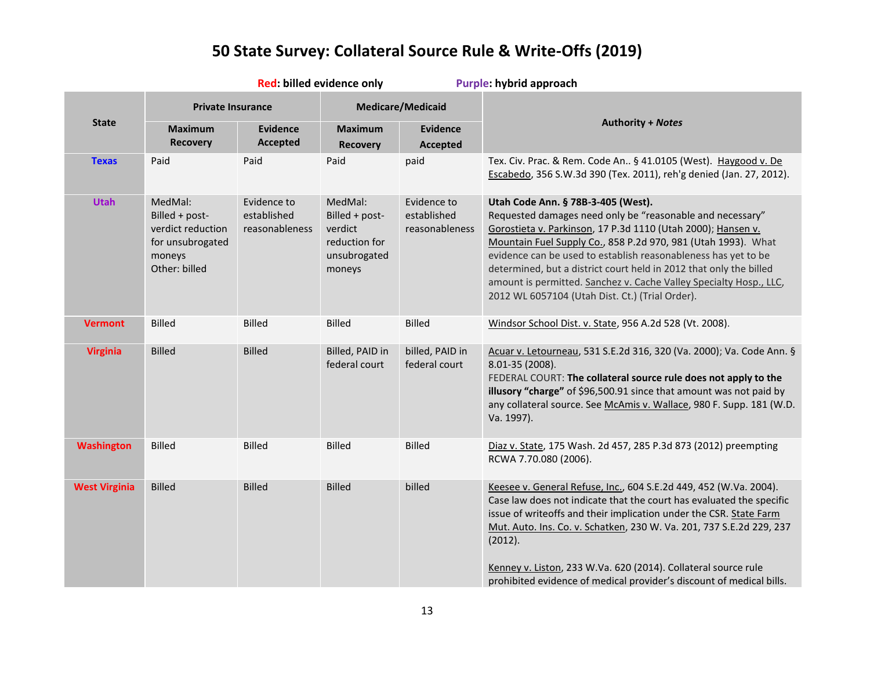| Red: billed evidence only |                                                                                               |                                              |                                                                                 |                                              | Purple: hybrid approach                                                                                                                                                                                                                                                                                                                                                                                                                                                                           |
|---------------------------|-----------------------------------------------------------------------------------------------|----------------------------------------------|---------------------------------------------------------------------------------|----------------------------------------------|---------------------------------------------------------------------------------------------------------------------------------------------------------------------------------------------------------------------------------------------------------------------------------------------------------------------------------------------------------------------------------------------------------------------------------------------------------------------------------------------------|
| <b>State</b>              | <b>Private Insurance</b>                                                                      |                                              | <b>Medicare/Medicaid</b>                                                        |                                              |                                                                                                                                                                                                                                                                                                                                                                                                                                                                                                   |
|                           | <b>Maximum</b><br><b>Recovery</b>                                                             | <b>Evidence</b><br>Accepted                  | <b>Maximum</b><br><b>Recovery</b>                                               | <b>Evidence</b><br>Accepted                  | <b>Authority + Notes</b>                                                                                                                                                                                                                                                                                                                                                                                                                                                                          |
| <b>Texas</b>              | Paid                                                                                          | Paid                                         | Paid                                                                            | paid                                         | Tex. Civ. Prac. & Rem. Code An § 41.0105 (West). Haygood v. De<br>Escabedo, 356 S.W.3d 390 (Tex. 2011), reh'g denied (Jan. 27, 2012).                                                                                                                                                                                                                                                                                                                                                             |
| <b>Utah</b>               | MedMal:<br>Billed + post-<br>verdict reduction<br>for unsubrogated<br>moneys<br>Other: billed | Evidence to<br>established<br>reasonableness | MedMal:<br>Billed + post-<br>verdict<br>reduction for<br>unsubrogated<br>moneys | Evidence to<br>established<br>reasonableness | Utah Code Ann. § 78B-3-405 (West).<br>Requested damages need only be "reasonable and necessary"<br>Gorostieta v. Parkinson, 17 P.3d 1110 (Utah 2000); Hansen v.<br>Mountain Fuel Supply Co., 858 P.2d 970, 981 (Utah 1993). What<br>evidence can be used to establish reasonableness has yet to be<br>determined, but a district court held in 2012 that only the billed<br>amount is permitted. Sanchez v. Cache Valley Specialty Hosp., LLC,<br>2012 WL 6057104 (Utah Dist. Ct.) (Trial Order). |
| <b>Vermont</b>            | <b>Billed</b>                                                                                 | <b>Billed</b>                                | <b>Billed</b>                                                                   | <b>Billed</b>                                | Windsor School Dist. v. State, 956 A.2d 528 (Vt. 2008).                                                                                                                                                                                                                                                                                                                                                                                                                                           |
| <b>Virginia</b>           | <b>Billed</b>                                                                                 | <b>Billed</b>                                | Billed, PAID in<br>federal court                                                | billed, PAID in<br>federal court             | Acuar v. Letourneau, 531 S.E.2d 316, 320 (Va. 2000); Va. Code Ann. §<br>8.01-35 (2008).<br>FEDERAL COURT: The collateral source rule does not apply to the<br>illusory "charge" of \$96,500.91 since that amount was not paid by<br>any collateral source. See McAmis v. Wallace, 980 F. Supp. 181 (W.D.<br>Va. 1997).                                                                                                                                                                            |
| <b>Washington</b>         | <b>Billed</b>                                                                                 | <b>Billed</b>                                | <b>Billed</b>                                                                   | <b>Billed</b>                                | Diaz v. State, 175 Wash. 2d 457, 285 P.3d 873 (2012) preempting<br>RCWA 7.70.080 (2006).                                                                                                                                                                                                                                                                                                                                                                                                          |
| <b>West Virginia</b>      | <b>Billed</b>                                                                                 | <b>Billed</b>                                | <b>Billed</b>                                                                   | billed                                       | Keesee v. General Refuse, Inc., 604 S.E.2d 449, 452 (W.Va. 2004).<br>Case law does not indicate that the court has evaluated the specific<br>issue of writeoffs and their implication under the CSR. State Farm<br>Mut. Auto. Ins. Co. v. Schatken, 230 W. Va. 201, 737 S.E.2d 229, 237<br>(2012).<br>Kenney v. Liston, 233 W.Va. 620 (2014). Collateral source rule<br>prohibited evidence of medical provider's discount of medical bills.                                                      |